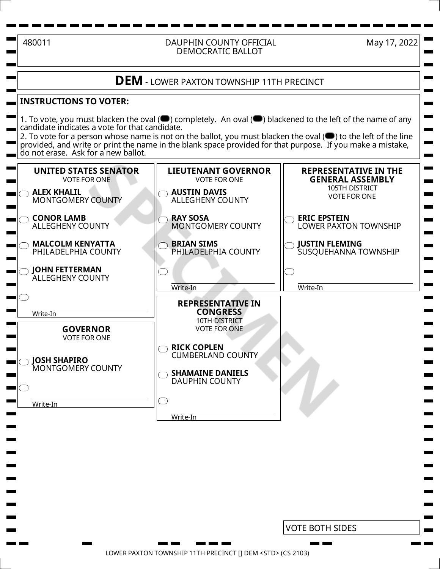## 480011 DAUPHIN COUNTY OFFICIAL DEMOCRATIC BALLOT

May 17, 2022

## **DEM** - LOWER PAXTON TOWNSHIP 11TH PRECINCT

## **INSTRUCTIONS TO VOTER:**

1. To vote, you must blacken the oval  $(\blacksquare)$  completely. An oval  $(\blacksquare)$  blackened to the left of the name of any candidate indicates a vote for that candidate.

2. To vote for a person whose name is not on the ballot, you must blacken the oval  $($ **)** to the left of the line provided, and write or print the name in the blank space provided for that purpose. If you make a mistake, do not erase. Ask for a new ballot.